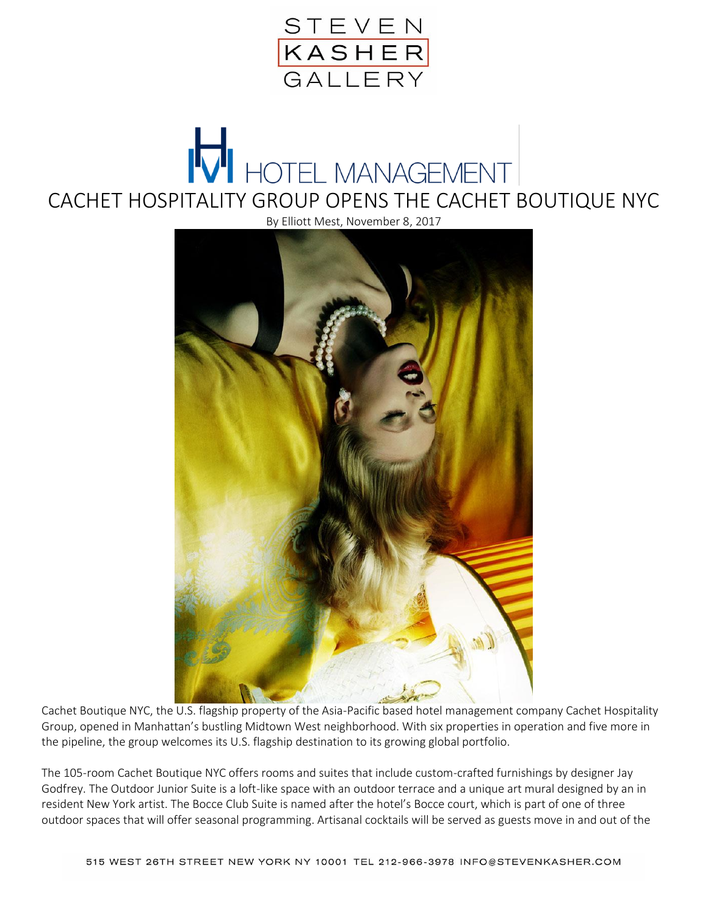

## HOTEL MANAGEMENT CACHET HOSPITALITY GROUP OPENS THE CACHET BOUTIQUE NYC

By Elliott Mest, November 8, 2017



Cachet Boutique NYC, the U.S. flagship property of the Asia-Pacific based hotel management company Cachet Hospitality Group, opened in Manhattan's bustling Midtown West neighborhood. With six properties in operation and five more in the pipeline, the group welcomes its U.S. flagship destination to its growing global portfolio.

The 105-room Cachet Boutique NYC offers rooms and suites that include custom-crafted furnishings by designer Jay Godfrey. The Outdoor Junior Suite is a loft-like space with an outdoor terrace and a unique art mural designed by an in resident New York artist. The Bocce Club Suite is named after the hotel's Bocce court, which is part of one of three outdoor spaces that will offer seasonal programming. Artisanal cocktails will be served as guests move in and out of the